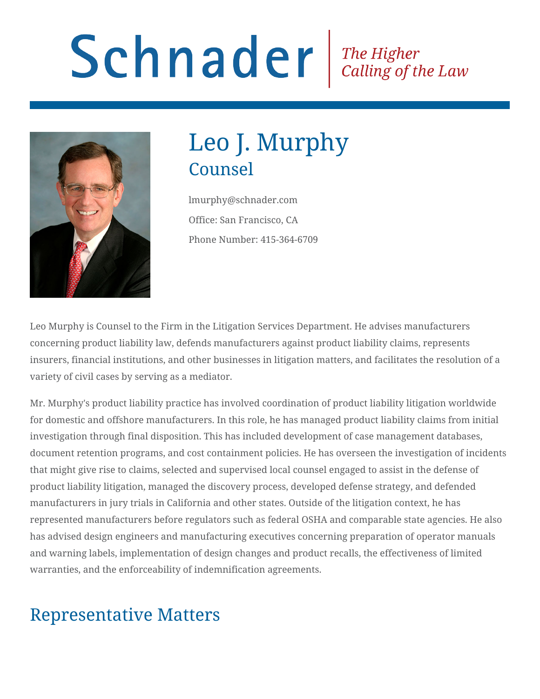# Schnader Fine Higher Calling of the Law



## Leo J. Murphy Counsel

lmurphy@schnader.com Office: San Francisco, CA Phone Number: 415-364-6709

Leo Murphy is Counsel to the Firm in the Litigation Services Department. He advises manufacturers concerning product liability law, defends manufacturers against product liability claims, represents insurers, financial institutions, and other businesses in litigation matters, and facilitates the resolution of a variety of civil cases by serving as a mediator.

Mr. Murphy's product liability practice has involved coordination of product liability litigation worldwide for domestic and offshore manufacturers. In this role, he has managed product liability claims from initial investigation through final disposition. This has included development of case management databases, document retention programs, and cost containment policies. He has overseen the investigation of incidents that might give rise to claims, selected and supervised local counsel engaged to assist in the defense of product liability litigation, managed the discovery process, developed defense strategy, and defended manufacturers in jury trials in California and other states. Outside of the litigation context, he has represented manufacturers before regulators such as federal OSHA and comparable state agencies. He also has advised design engineers and manufacturing executives concerning preparation of operator manuals and warning labels, implementation of design changes and product recalls, the effectiveness of limited warranties, and the enforceability of indemnification agreements.

## Representative Matters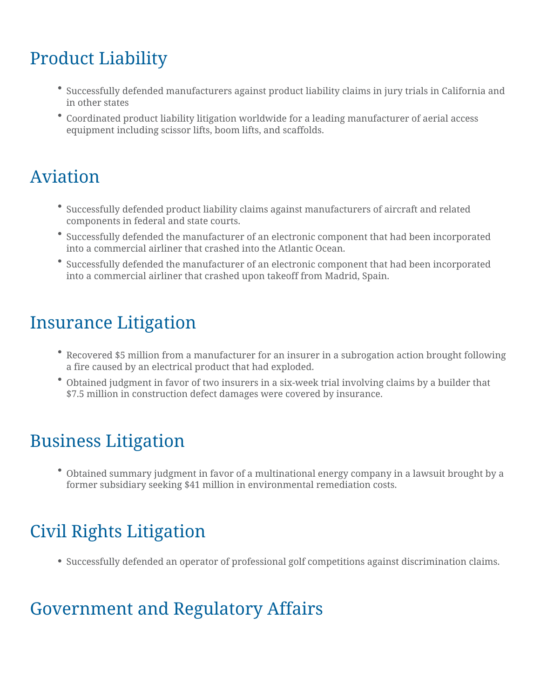## Product Liability

- Successfully defended manufacturers against product liability claims in jury trials in California and in other states
- Coordinated product liability litigation worldwide for a leading manufacturer of aerial access equipment including scissor lifts, boom lifts, and scaffolds.

## Aviation

- Successfully defended product liability claims against manufacturers of aircraft and related components in federal and state courts.
- Successfully defended the manufacturer of an electronic component that had been incorporated into a commercial airliner that crashed into the Atlantic Ocean.
- Successfully defended the manufacturer of an electronic component that had been incorporated into a commercial airliner that crashed upon takeoff from Madrid, Spain.

#### Insurance Litigation

- Recovered \$5 million from a manufacturer for an insurer in a subrogation action brought following a fire caused by an electrical product that had exploded.
- Obtained judgment in favor of two insurers in a six-week trial involving claims by a builder that \$7.5 million in construction defect damages were covered by insurance.

#### Business Litigation

Obtained summary judgment in favor of a multinational energy company in a lawsuit brought by a former subsidiary seeking \$41 million in environmental remediation costs.

## Civil Rights Litigation

Successfully defended an operator of professional golf competitions against discrimination claims.

## Government and Regulatory Affairs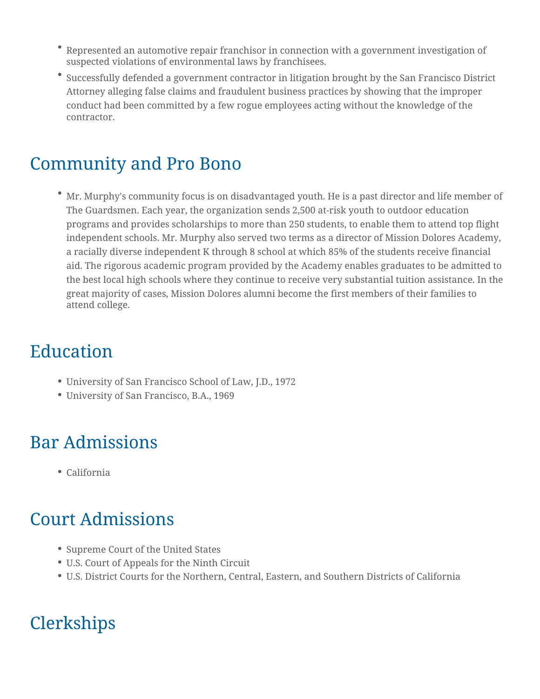- Represented an automotive repair franchisor in connection with a government investigation of suspected violations of environmental laws by franchisees.
- Successfully defended a government contractor in litigation brought by the San Francisco District Attorney alleging false claims and fraudulent business practices by showing that the improper conduct had been committed by a few rogue employees acting without the knowledge of the contractor.

#### Community and Pro Bono

Mr. Murphy's community focus is on disadvantaged youth. He is a past director and life member of The Guardsmen. Each year, the organization sends 2,500 at-risk youth to outdoor education programs and provides scholarships to more than 250 students, to enable them to attend top flight independent schools. Mr. Murphy also served two terms as a director of Mission Dolores Academy, a racially diverse independent K through 8 school at which 85% of the students receive financial aid. The rigorous academic program provided by the Academy enables graduates to be admitted to the best local high schools where they continue to receive very substantial tuition assistance. In the great majority of cases, Mission Dolores alumni become the first members of their families to attend college.

## Education

- University of San Francisco School of Law, J.D., 1972
- University of San Francisco, B.A., 1969

#### Bar Admissions

California

#### Court Admissions

- Supreme Court of the United States
- U.S. Court of Appeals for the Ninth Circuit
- U.S. District Courts for the Northern, Central, Eastern, and Southern Districts of California

## **Clerkships**